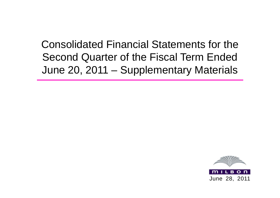# Consolidated Financial Statements for the Second Quarter of the Fiscal Term Ended June 20, 2011 – Supplementary Materials

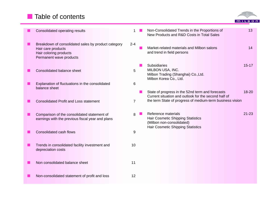## **Table of contents**



| Consolidated operating results                                                                                                 |                | Non-Consolidated Trends in the Proportions of<br>New Products and R&D Costs in Total Sales                                        | 13        |
|--------------------------------------------------------------------------------------------------------------------------------|----------------|-----------------------------------------------------------------------------------------------------------------------------------|-----------|
| Breakdown of consolidated sales by product category<br>Hair care products<br>Hair coloring products<br>Permanent wave products | $2 - 4$        | Market-related materials and Milbon salons<br>and trend in field persons                                                          | 14        |
| Consolidated balance sheet                                                                                                     | 5              | <b>Subsidiaries</b><br>MILBON USA, INC.<br>Milbon Trading (Shanghai) Co., Ltd.<br>Milbon Korea Co., Ltd.                          | $15 - 17$ |
| Explanation of fluctuations in the consolidated<br>balance sheet                                                               | 6              | State of progress in the 52nd term and forecasts                                                                                  | 18-20     |
| <b>Consolidated Profit and Loss statement</b>                                                                                  | $\overline{7}$ | Current situation and outlook for the second half of<br>the term State of progress of medium-term business vision                 |           |
| Comparison of the consolidated statement of<br>earnings with the previous fiscal year and plans                                | 8              | Reference materials<br>Hair Cosmetic Shipping Statistics<br>(Milbon non-consolidated)<br><b>Hair Cosmetic Shipping Statistics</b> | $21 - 23$ |
| Consolidated cash flows                                                                                                        | 9              |                                                                                                                                   |           |
| Trends in consolidated facility investment and<br>depreciation costs                                                           | 10             |                                                                                                                                   |           |
| Non consolidated balance sheet                                                                                                 | 11             |                                                                                                                                   |           |
| Non-consolidated statement of profit and loss                                                                                  | 12             |                                                                                                                                   |           |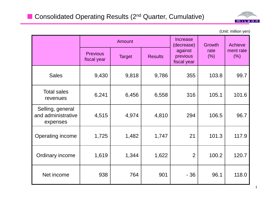

(Unit: million yen)

|                                                    |                                | <b>Amount</b>                   |       | <b>Increase</b><br>Growth<br>(decrease) |              | Achieve           |  |
|----------------------------------------------------|--------------------------------|---------------------------------|-------|-----------------------------------------|--------------|-------------------|--|
|                                                    | <b>Previous</b><br>fiscal year | <b>Target</b><br><b>Results</b> |       | against<br>previous<br>fiscal year      | rate<br>(% ) | ment rate<br>(% ) |  |
| <b>Sales</b>                                       | 9,430                          | 9,818                           | 9,786 | 355                                     | 103.8        | 99.7              |  |
| <b>Total sales</b><br>revenues                     | 6,241                          | 6,456                           | 6,558 | 316                                     | 105.1        | 101.6             |  |
| Selling, general<br>and administrative<br>expenses | 4,515                          | 4,974                           | 4,810 | 294                                     | 106.5        | 96.7              |  |
| Operating income                                   | 1,725                          | 1,482                           | 1,747 | 21                                      | 101.3        | 117.9             |  |
| Ordinary income                                    | 1,619                          | 1,344                           | 1,622 | $\overline{2}$                          | 100.2        | 120.7             |  |
| Net income                                         | 938                            | 764                             | 901   | $-36$                                   | 96.1         | 118.0             |  |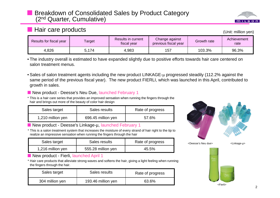#### Breakdown of Consolidated Sales by Product Category (2<sup>nd</sup> Quarter, Cumulative)



## **Hair care products** (Unit: million yen)

(Unit: million ven)

| Results for fiscal year | <b>Target</b> | Results in current<br>fiscal year | Change against<br>previous fiscal year | Growth rate | Achievement<br>rate |
|-------------------------|---------------|-----------------------------------|----------------------------------------|-------------|---------------------|
| 4,826                   | 5.174         | 4,983                             | 157                                    | 103.3%      | 96.3%               |

- The industry overall is estimated to have expanded slightly due to positive efforts towards hair care centered on salon treatment menus.
- $\bullet$  Sales of salon treatment agents including the new product LINKAGE- $\mu$  progressed steadily (112.2% against the same period of the previous fiscal year). The new product FIERLI, which was launched in this April, contributed to growth in sales.
- New product Deesse's Neu Due, launched February 1
- $^{\star}$  This is a hair care series that provides an improved sensation when running the fingers through the hair and brings out more of the beauty of color hair design

| Sales target      | Sales results      | Rate of progress |  |  |
|-------------------|--------------------|------------------|--|--|
| 1,210 million yen | 696.45 million yen | 57.6%            |  |  |

■ New product - Deesse's Linkage-µ, launched February 1

\* This is a salon treatment system that increases the moisture of every strand of hair right to the tip to realize an impressive sensation when running the fingers through the hair

| Sales target     | Sales results      | Rate of progress | <deesse's due="" neu=""></deesse's> | <linkage-µ></linkage-µ> |
|------------------|--------------------|------------------|-------------------------------------|-------------------------|
| .216 million yen | 555.28 million yen | 45.5%            |                                     |                         |

New product - Fierli, launched April 1

\* Hair care products that alleviate strong waves and softens the hair, giving a light feeling when running the fingers through the hair.

| Sales target    | Sales results      | Rate of progress |  |  |
|-----------------|--------------------|------------------|--|--|
| 304 million yen | 193.46 million yen | 63.6%            |  |  |



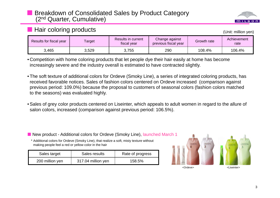#### Breakdown of Consolidated Sales by Product Category (2<sup>nd</sup> Quarter, Cumulative)

## **Hair coloring products and the set of the set of the set of the set of the set of the set of the set of the set of the set of the set of the set of the set of the set of the set of the set of the set of the set of the s**

| • Competition with home coloring products that let people dye their hair easily at home has become |
|----------------------------------------------------------------------------------------------------|
| increasingly severe and the industry overall is estimated to have contracted slightly.             |

• The soft texture of additional colors for Ordeve (Smoky Line), a series of integrated coloring products, has received favorable notices. Sales of fashion colors centered on Ordeve increased (comparison against previous period: 109.0%) because the proposal to customers of seasonal colors (fashion colors matched to the seasons) was evaluated highly.

Results for fiscal year **Results in current Change against** Change against Results for fiscal year Results in current previous fiscal year Growth rate Results in current previous fiscal year Schievement rate

3,465 | 3,529 | 3,755 | 290 | 108.4% | 106.4%

• Sales of grey color products centered on Liseinter, which appeals to adult women in regard to the allure of salon colors, increased (comparison against previous period: 106.5%).

■ New product - Additional colors for Ordeve (Smoky Line), launched March 1

\* Additional colors for Ordeve (Smoky Line), that realize a soft, misty texture without making people feel a red or yellow color in the hair

| Sales target    | Sales results      | Rate of progress |
|-----------------|--------------------|------------------|
| 200 million yen | 317.04 million yen | 158.5%           |





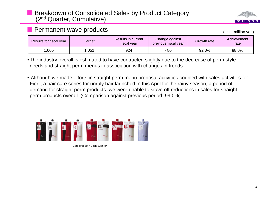#### Breakdown of Consolidated Sales by Product Category (2<sup>nd</sup> Quarter, Cumulative)



(Unit: million ven)

 $MILB$ 

| Results for fiscal year | Target | Results in current<br>fiscal year | Change against<br>previous fiscal year | Growth rate | Achievement<br>rate |
|-------------------------|--------|-----------------------------------|----------------------------------------|-------------|---------------------|
| ,005                    | ,051   | 924                               | 80                                     | 92.0%       | 88.0%               |

•The industry overall is estimated to have contracted slightly due to the decrease of perm style needs and straight perm menus in association with changes in trends.

• Although we made efforts in straight perm menu proposal activities coupled with sales activities for Fierli, a hair care series for unruly hair launched in this April for the rainy season, a period of demand for straight perm products, we were unable to stave off reductions in sales for straight perm products overall. (Comparison against previous period: 99.0%)



Core product <Liscio Glanfe>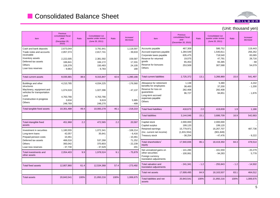

|                                                                                                                                             |                                                                       |       |                                                                       |       |                                                              |                                                                                                                                            |                                                                |        |                                                                    |        | (Unit: thousand yen)                                      |
|---------------------------------------------------------------------------------------------------------------------------------------------|-----------------------------------------------------------------------|-------|-----------------------------------------------------------------------|-------|--------------------------------------------------------------|--------------------------------------------------------------------------------------------------------------------------------------------|----------------------------------------------------------------|--------|--------------------------------------------------------------------|--------|-----------------------------------------------------------|
| <b>Item</b>                                                                                                                                 | Previous<br>consolidated fiscal<br>year<br>(December 20,<br>2010      | Ratio | <b>Consolidated 1st</b><br>quarter under review<br>(June 20, 2011)    | Ratio | Increase/<br>decrease                                        | Item                                                                                                                                       | Previous<br>consolidated fiscal<br>year<br>(December 20, 2010) | Ratio  | <b>Consolidated 1st</b><br>quarter under review<br>(June 20, 2011) | Ratio  | Increase/<br>decrease                                     |
| Cash and bank deposits<br>Trade notes and accounts<br>receivable<br>Inventory assets<br>Deferred tax assets<br>Others<br>Loan loss reserves | 2,673,044<br>2,857,374<br>2,222,005<br>166,841<br>126,378<br>$-9,963$ |       | 3,791,641<br>2,817,741<br>2,381,592<br>184,172<br>150,483<br>$-9,783$ |       | 1,118,597<br>$-39,633$<br>159,587<br>17,331<br>24,105<br>180 | Accounts payable<br>Accrued expenses payable<br>Corporate taxes payable<br>Reserve for returned<br>goods<br>Reserve for bonuses<br>Others  | 467,309<br>1,284,549<br>635,475<br>19,075<br>65,453<br>253,509 |        | 586,752<br>1,540,811<br>718,540<br>47,791<br>65,385<br>307,588     |        | 119,443<br>256,262<br>83,065<br>28,716<br>$-68$<br>54,079 |
| <b>Total current assets</b>                                                                                                                 | 8,035,681                                                             | 38.6  | 9,315,847                                                             | 42.6  | 1,280,166                                                    | <b>Total current liabilities</b>                                                                                                           | 2,725,372                                                      | 13.1   | 3,266,869                                                          | 15.0   | 541,497                                                   |
| Buildings and other<br>structures<br>Machinery, equipment and<br>vehicles for transportation<br>Land<br>Construction in progress<br>Others  | 4,210,785<br>1,074,533<br>4,763,766<br>3,634<br>248,769               |       | 4,034,225<br>1,027,396<br>4,763,766<br>9,619<br>248,270               |       | $-176,560$<br>$-47,137$<br>5,985<br>$-499$                   | Allowance for retirement<br>benefits for employees<br>Reserve for loss on<br>quarantees<br>Long-term accrued<br>expenses payable<br>Others | 1,138<br>38,400<br>282,408<br>96,727                           |        | 5,380<br>37,200<br>282,408<br>94,851                               |        | 4,242<br>$-1,200$<br>$-1,876$                             |
| Total tangible fixed assets                                                                                                                 | 10,301,488                                                            | 49.4  | 10,083,278                                                            | 46.1  | $-218,210$                                                   | <b>Total fixed liabilities</b>                                                                                                             | 418,673                                                        | 2.0    | 419,839                                                            | 1.9    | 1,166                                                     |
|                                                                                                                                             |                                                                       |       |                                                                       |       |                                                              | <b>Total liabilities</b>                                                                                                                   | 3,144,046                                                      | 15.1   | 3,686,709                                                          | 16.9   | 542,663                                                   |
| Total intangible fixed<br>assets                                                                                                            | 451,968                                                               | 2.2   | 472,565                                                               | 2.2   | 20,597                                                       | Capital stock<br>Capital surplus                                                                                                           | 2,000,000<br>199,120                                           |        | 2,000,000<br>199,120                                               |        |                                                           |
| Investment in securities<br>Long-term loans<br>Prepaid pension costs                                                                        | 1,180,555<br>42,057<br>10,461                                         |       | 1,072,341<br>35,641                                                   |       | $-108,214$<br>$-6,416$<br>$-10,461$                          | Retained earnings<br>(Inc. current net income)<br>Treasury stock                                                                           | 15,779,971<br>(1,831,554)<br>$-38,254$                         |        | 16,267,707<br>(901, 849)<br>$-47,476$                              |        | 487,736<br>$-9,222$                                       |
| Deferred tax assets<br>Others<br>Loan loss reserves                                                                                         | 466,016<br>393,042<br>$-37,730$                                       |       | 537,268<br>370,803<br>$-37,529$                                       |       | 71,252<br>$-22,239$<br>201                                   | Total shareholders'<br>equity                                                                                                              | 17,940,836                                                     | 86.1   | 18,419,350                                                         | 84.3   | 478,514                                                   |
| Total investments and<br>other assets                                                                                                       | 2,054,403                                                             | 9.9   | 1,978,524                                                             | 9.1   | $-75,879$                                                    | Net unrealized gains on<br>other securities<br>Foreign currency<br>translation adjustments                                                 | $-141,280$<br>$-100,061$                                       |        | $-161,559$<br>$-94,283$                                            |        | $-20,279$<br>5,778                                        |
| <b>Total fixed assets</b>                                                                                                                   | 12,807,860                                                            | 61.4  | 12,534,368                                                            | 57.4  | $-273,492$                                                   | Total valuation and<br>translation adjustments                                                                                             | $-241,341$                                                     | $-1.2$ | $-255,843$                                                         | $-1.2$ | $-14,502$                                                 |
|                                                                                                                                             |                                                                       |       |                                                                       |       |                                                              | Total net assets                                                                                                                           | 17,699,495                                                     | 84.9   | 18,163,507                                                         | 83.1   | 464,012                                                   |
| <b>Total assets</b>                                                                                                                         | 20,843,541                                                            | 100%  | 21,850,216                                                            | 100%  | 1,006,675                                                    | Total liabilities and net<br>assets                                                                                                        | 20,843,541                                                     | 100%   | 21,850,216                                                         | 100%   | 1,006,675                                                 |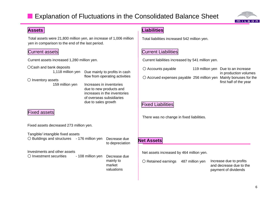#### er<br>Bel Explanation of Fluctuations in the Consolidated Balance Sheet



### **Assets**

Total assets were 21,800 million yen, an increase of 1,006 million yen in comparison to the end of the last period.

#### Current assets

OCash and bank deposits

159 million yen

Increases in inventoriesdue to new products and increases in the inventoriesof overseas subsidiariesdue to sales growth

### Fixed assets

Fixed assets decreased 273 million yen.

| Tangible/ intangible fixed assets                               |                 |                   |
|-----------------------------------------------------------------|-----------------|-------------------|
| $\circ$ Buildings and structures - 176 million yen Decrease due |                 | <b>Net Assets</b> |
|                                                                 | to depreciation |                   |

#### Investments and other assets

○ Investment securities

Decrease due mainly to marketvaluations

## **Liabilities**

Total liabilities increased 542 million yen.

## Current Liabilities

Current assets increased 1,280 million yen. Current liabilities increased by 541 million yen.

| $\bigcirc$ Cash and bank deposits $\hspace{0.1mm}$ |                                | $\bigcirc$ Accounts payable                                                | 119 million yen Due to an increase |
|----------------------------------------------------|--------------------------------|----------------------------------------------------------------------------|------------------------------------|
| 1,118 million yen                                  | Due mainly to profits in cash  |                                                                            | in production volumes              |
| $\bigcirc$ Inventory assets                        | flow from operating activities | $\bigcirc$ Accrued expenses payable 256 million yen Mainly bonuses for the |                                    |
| $150$ million von                                  | Inercases in inventories       |                                                                            | first half of the year             |

## Fixed Liabilities

There was no change in fixed liabilities.

Invert assets increased by 464 million yen.<br>In Net assets increased by 464 million yen.

○ Retained earnings 487 million yen

Increase due to profits and decrease due to the payment of dividends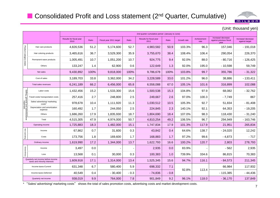

(Unit: thousand yen)

|                                                 |                                                                    |                                 | 2nd quarter cumulative period (January to June) |                         |                          |                                 |        |             |                     |                                                      |                                      |  |  |  |
|-------------------------------------------------|--------------------------------------------------------------------|---------------------------------|-------------------------------------------------|-------------------------|--------------------------|---------------------------------|--------|-------------|---------------------|------------------------------------------------------|--------------------------------------|--|--|--|
|                                                 |                                                                    | Results for fiscal year<br>2010 | Ratio                                           | Fiscal year 2011 target | Ratio                    | Results for fiscal year<br>2011 | Ratio  | Growth rate | Achievement<br>rate | Increase/decrease<br>against previous fiscal<br>year | Increase/ decrease<br>against target |  |  |  |
|                                                 | Hair care products                                                 | 4,826,536                       | 51.2                                            | 5,174,600               | 52.7                     | 4,983,582                       | 50.9   | 103.3%      | 96.3                | 157,046                                              | $-191,018$                           |  |  |  |
| Product category totals                         | Hair coloring products                                             | 3,465,616                       | 36.7                                            | 3,529,300               | 35.9                     | 3,755,670                       | 38.4   | 108.4%      | 106.4               | 290,054                                              | 226,370                              |  |  |  |
|                                                 | Permanent wave products                                            | 1,005,491                       | 10.7                                            | 1,051,200               | 10.7                     | 924,775                         | 9.4    | 92.0%       | 88.0                | $-80,716$                                            | $-126,425$                           |  |  |  |
|                                                 | Others                                                             | 133,247                         | 1.4                                             | 62,900                  | 0.6                      | 122,649                         | 1.3    | 92.0%       | 195.0               | $-10,598$                                            | 59,749                               |  |  |  |
|                                                 | Net sales                                                          | 9,430,892                       | 100%                                            | 9,818,000               | 100%                     | 9,786,678                       | 100%   | 103.8%      | 99.7                | 355,786                                              | $-31,322$                            |  |  |  |
|                                                 | Cost of sales                                                      | 3,189,703                       | 33.8                                            | 3,362,000               | 34.2                     | 3,228,589                       | 33.0   | 101.2%      | 96.0                | 38,886                                               | $-133,411$                           |  |  |  |
|                                                 | Total sales revenues                                               | 6,241,189                       | 66.2                                            | 6,456,000               | 65.8                     | 6,558,088                       | 67.0   | 105.1%      | 101.6               | 316,899                                              | 102,088                              |  |  |  |
|                                                 | Labor costs                                                        | 1,432,456                       | 15.2                                            | 1,533,300               | 15.6                     | 1,500,538                       | 15.3   | 104.8%      | 97.9                | 68,082                                               | $-32,762$                            |  |  |  |
| Selling, general and administrative<br>expenses | Travel costs/ transportation costs                                 | 257,416                         | 2.7                                             | 248,800                 | 2.5                      | 249,667                         | 2.6    | 97.0%       | 100.3               | $-7,749$                                             | 867                                  |  |  |  |
|                                                 | Sales/ advertising/ marketing<br>costs <sup>*</sup>                | 978,678                         | 10.4                                            | 1,111,920               | 11.3                     | 1,030,512                       | 10.5   | 105.3%      | 92.7                | 51,834                                               | $-81,408$                            |  |  |  |
|                                                 | Depreciation and amortization<br>expense                           | 160,492                         | 1.7                                             | 244,050                 | 2.5                      | 224,845                         | 2.3    | 140.1%      | 92.1                | 64,353                                               | $-19,205$                            |  |  |  |
|                                                 | Others                                                             | 1,686,260                       | 17.9                                            | 1,835,930               | 18.7                     | 1,804,690                       | 18.4   | 107.0%      | 98.3                | 118,430                                              | $-31,240$                            |  |  |  |
|                                                 | Total                                                              | 4,515,305                       | 47.9                                            | 4,974,000               | 50.7                     | 4,810,254                       | 49.2   | 106.5%      | 96.7                | 294,949                                              | $-163,746$                           |  |  |  |
|                                                 | Operating income                                                   | 1,725,883                       | 18.3                                            | 1,482,000               | 15.1                     | 1,747,834                       | 17.9   | 101.3%      | 117.9               | 21,951                                               | 265,834                              |  |  |  |
|                                                 | Income                                                             | 67,862                          | 0.7                                             | 31,600                  | 0.3                      | 43,842                          | 0.4    | 64.6%       | 138.7               | $-24,020$                                            | 12,242                               |  |  |  |
| Non-operating                                   | Costs                                                              | 173,756                         | 1.8                                             | 169,600                 | 1.7                      | 168,883                         | 1.7    | 97.2%       | 99.6                | $-4,873$                                             | $-717$                               |  |  |  |
|                                                 | Ordinary income                                                    | 1,619,990                       | 17.2                                            | 1,344,000               | 13.7                     | 1,622,793                       | 16.6   | 100.2%      | 120.7               | 2,803                                                | 278,793                              |  |  |  |
|                                                 | Income                                                             | 3,497                           | 0.0                                             |                         | $\overline{\phantom{0}}$ | 2,935                           | 0.0    | 83.9%       |                     | $-562$                                               | 2,935                                |  |  |  |
| Extraordinary                                   | Loss                                                               | 13,568                          | 0.1                                             | 30,000                  | 0.3                      | 100,383                         | 1.0    | 739.9%      | 334.6               | 86,815                                               | 70,383                               |  |  |  |
|                                                 | Quarterly net income before income<br>taxes and minority interests | 1,609,918                       | 17.1                                            | 1,314,000               | 13.4                     | 1,525,345                       | 15.6   | 94.7%       | 116.1               | $-84,573$                                            | 211,345                              |  |  |  |
|                                                 | Income taxes-Current                                               | 631,348                         | 6.7                                             | 580,400                 | 5.9                      | 698,332                         | 7.1    | 92.8%       |                     | 66,984                                               | 117,932                              |  |  |  |
|                                                 | Income taxes-Deferred                                              | 40,549                          | 0.4                                             | $-30,400$               | $-0.3$                   | $-74,836$                       | $-0.8$ |             | 113.4               | $-115,385$                                           | $-44,436$                            |  |  |  |
|                                                 | Quarterly net income                                               | 938,019                         | 9.9                                             | 764,000                 | 7.8                      | 901,849                         | 9.2    | 96.1%       | 118.0               | $-36,170$                                            | 137,849                              |  |  |  |

\* "Sales/ advertising/ marketing costs" shows the total of sales promotion costs, advertising costs and market development costs. <sup>7</sup>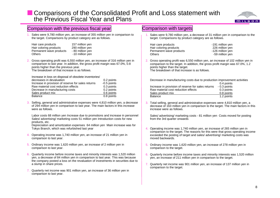## **E** Comparisons of the Consolidated Profit and Loss statement with the Previous Fiscal Year and Plans

a slump in share prices.

comparison to last year.

7. Quarterly net income was 901 million yen, an increase of 36 million yen in



|    | Comparison with the previous fiscal year                                                                                                                                                                                                                                                                                                      | Comparison with targets                                                                                                                                                                                                                                                       |
|----|-----------------------------------------------------------------------------------------------------------------------------------------------------------------------------------------------------------------------------------------------------------------------------------------------------------------------------------------------|-------------------------------------------------------------------------------------------------------------------------------------------------------------------------------------------------------------------------------------------------------------------------------|
|    | Sales were 9,780 million yen, an increase of 355 million yen in comparison to<br>the target. Comparisons by product category are as follows.                                                                                                                                                                                                  | Sales were 9,780 million yen, a decrease of 31 million yen in comparison to the<br>target. Comparisons by product category are as follows.                                                                                                                                    |
|    | Hair care products<br>157 million yen<br>Hair coloring products<br>290 million yen<br>Permanent wave products<br>- 80 million yen<br><b>Others</b><br>-10 million yen                                                                                                                                                                         | Hair care products<br>-191 million yen<br>Hair coloring products<br>226 million yen<br>Permanent wave products<br>-126 million yen<br><b>Others</b><br>-59 million yen                                                                                                        |
| 2. | Gross operating profit was 6,550 million yen, an increase of 316 million yen in<br>comparison to last year. In addition, the gross profit margin was 67.0%, 0.8<br>points higher than the previous year.<br>The breakdown of that increase is as follows.                                                                                     | Gross operating profit was 6,550 million yen, an increase of 102 million yen in<br>comparison to the target. In addition, the gross profit margin was 67.0%, 1.2<br>points higher than the target.<br>The breakdown of that increase is as follows.                           |
|    | Increase in loss on disposal of obsolete inventories/<br>decreases in devaluation<br>0.2 points<br>Increase in provision of reserve for sales returns<br>-0.5 points<br>Raw material cost reduction effects<br>0.3 points<br>Decrease in manufacturing costs<br>0.2 points<br>Sales product mix<br>0.6 points<br><b>Balance</b><br>0.8 points | Decrease in manufacturing costs due to production improvement activities<br>0.4 points<br>Increase in provision of reserve for sales returns<br>- 0.3 points<br>Raw material cost reduction effects<br>0.3 points<br>Sales product mix<br>0.8 points<br>Balance<br>1.2 points |
|    | Selling, general and administrative expenses were 4,810 million yen, a decrease<br>of 294 million yen in comparison to last year. The main factors in this increase<br>were as follows.                                                                                                                                                       | 3. Total selling, general and administrative expenses were 4,810 million yen, a<br>decrease of 163 million yen in comparison to the target. The main factors in this<br>increase were as follows.                                                                             |
|    | Labor costs 68 million yen Increase due to promotions and increase in personnel<br>Sales/ advertising/ marketing costs 51 million yen Introduction costs for new<br>products, etc.                                                                                                                                                            | Sales/ advertising/ marketing costs - 81 million yen Costs moved for posting<br>from the 3rd quarter onwards                                                                                                                                                                  |
|    | Depreciation and amortization expenses 64 million yen Main increase was for<br>Tokyo Branch, which was refurbished last year                                                                                                                                                                                                                  | Operating income was 1,740 million yen, an increase of 265 million yen in<br>comparison to the target. The reasons for this were that gross operating income                                                                                                                  |
|    | Operating income was 1,740 million yen, an increase of 21 million yen in<br>comparison to last year.                                                                                                                                                                                                                                          | exceeded the posting of target and sales/ advertising/ marketing costs was<br>moved backwards.                                                                                                                                                                                |
| 5. | Ordinary income was 1,620 million yen, an increase of 2 million yen in<br>comparison to last year.                                                                                                                                                                                                                                            | Ordinary income was 1,620 million yen, an increase of 278 million yen in<br>comparison to the target.                                                                                                                                                                         |
| 6. | Quarterly income before income taxes and minority interests was 1,520 million<br>yen, a decrease of 84 million yen in comparison to last year. This was because<br>the company posted a loss on the revaluation of investments in securities due to                                                                                           | Quarterly income before income taxes and minority interests was 1,520 million<br>yen, an increase of 211 million yen in comparison to the target.                                                                                                                             |

- 7. Quarterly net income was 901 million yen, an increase of 137 million yen in comparison to the target.
- 8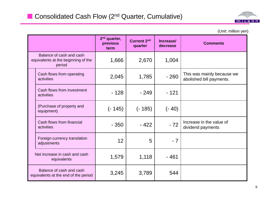

(Unit: million yen)

|                                                                           | $2nd$ quarter,<br>previous<br>term | <b>Current 2nd</b><br>quarter | Increase/<br>decrease | <b>Comments</b>                                        |
|---------------------------------------------------------------------------|------------------------------------|-------------------------------|-----------------------|--------------------------------------------------------|
| Balance of cash and cash<br>equivalents at the beginning of the<br>period | 1,666                              | 2,670                         | 1,004                 |                                                        |
| Cash flows from operating<br>activities                                   | 2,045                              | 1,785                         | $-260$                | This was mainly because we<br>abolished bill payments. |
| Cash flows from investment<br>activities                                  | $-128$                             | $-249$                        | $-121$                |                                                        |
| (Purchase of property and<br>equipment)                                   | (- 145)                            | $(-185)$                      | $(-40)$               |                                                        |
| Cash flows from financial<br>activities                                   | $-350$                             | $-422$                        | $-72$                 | Increase in the value of<br>dividend payments          |
| Foreign currency translation<br>adjustments                               | 12                                 | 5                             | $-7$                  |                                                        |
| Net increase in cash and cash<br>equivalents                              | 1,579                              | 1,118                         | $-461$                |                                                        |
| Balance of cash and cash<br>equivalents at the end of the period          | 3,245                              | 3,789                         | 544                   |                                                        |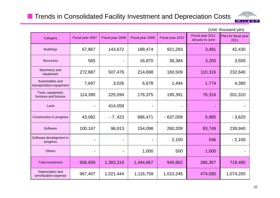## **The Trends in Consolidated Facility Investment and Depreciation Costs**



|                                             |                  |                  |                  |                  |                                     | JUITIL LITUUJAITU YUIT       |
|---------------------------------------------|------------------|------------------|------------------|------------------|-------------------------------------|------------------------------|
| Category                                    | Fiscal year 2007 | Fiscal year 2008 | Fiscal year 2009 | Fiscal year 2010 | Fiscal year 2011<br>January to June | Plan for fiscal year<br>2011 |
| <b>Buildings</b>                            | 67,867           | 143,672          | 188,474          | 921,283          | 3,481                               | 42,430                       |
| <b>Structures</b>                           | 565              |                  | 16,870           | 36,384           | 3,200                               | 3,500                        |
| Machinery and<br>equipment                  | 272,887          | 507,476          | 214,698          | 160,509          | 110,316                             | 232,640                      |
| Automobiles and<br>transportation equipment | 7,697            | 3,026            | 6,678            | 1,494            | 1,774                               | 4,380                        |
| Tools, equipment,<br>furniture and fixtures | 114,390          | 225,594          | 176,375          | 195,391          | 76,316                              | 201,310                      |
| Land                                        |                  | 414,059          |                  |                  |                                     |                              |
| Construction in progress                    | 43,082           | $-7,423$         | 686,471          | $-637,009$       | 5,985                               | $-3,620$                     |
| Software                                    | 100,167          | 96,913           | 154,098          | 260,209          | 83,749                              | 239,940                      |
| Software development in<br>progress         |                  |                  |                  | 2,100            | 546                                 | $-2,100$                     |
| <b>Others</b>                               |                  |                  | 1,000            | 500              | 1,000                               |                              |
| <b>Total investment</b>                     | 606,659          | 1,383,319        | 1,444,667        | 940,862          | 286,367                             | 718,480                      |
| Depreciation and<br>amortization expense    | 967,407          | 1,021,444        | 1,116,759        | 1,010,245        | 474,580                             | 1,074,200                    |

#### $($ l Init: thousand yen)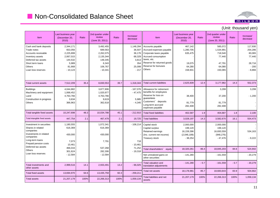## **Non-Consolidated Balance Sheet**



#### (Unit: thousand yen) ItemLast business year (December 20, 2010) Ratio2nd quarter under review(June 20, 2011) Ratio Increase/ decreaseAccounts payable Accrued expenses payable Corporate taxes payable 467,142 1,280,705 635,475 585,072 1,534,991 718,540 117,930 254,286 83,065 ItemLast business year (December 20, 2010) Ratio2nd quarter under review(June 20, 2011) Ratio Increase/ decreaseCash and bank deposits Trade notesAccounts receivable 2,344,171 653,056 2,225,899 3,492,455 689,563 2,262,075 1,148,284 36,507 36,176 Accrued consumption taxes, etc. Reserve for returned goods Reserve for bonuses**Others** 19,075 64,280 158,931 77,440 47,791 64,080 150,065 77,440 28,716 - 200- 8,866 Inventory assets Deferred tax assetsShort term loansOthers Loan loss reserves2,067,015 144,532 5,989 81,668 - 10,124 2,135,344 148,345 6,343 106,767 - 10,341 68,329 3,813 35425,099 - 217Total current liabilities 2,625,609 12.4 3,177,982 14.3 552.373 Allowance for retirement benefits for employees Reserve for loss on guarantees 38,400 3,299 37,200 3,299 - 1,200 Total current assets 7,512,209 35.4 8,830,553 39.7 1,318,344 **Buildings** Machinery and equipment LandConstruction in progress 4,044,882 1,068,452 4,763,766 3 6343,877,806 1,020,977 4,763,766 9 619- 167,076 - 47,475 5,985 Customers' deposits Long-term accrued expenses payable 81,779 282,408 81,779 282,408 Total fixed liabilities 1 402,587 1.9 404,687 1.8 2.100 Total liabilities 3,028,197 14.3 3,582,670 16.1 554,473 **Others** 366,963 362,618 - 4,345 Total tangible fixed assets 10,247,698 48.3 10,034,788 45.1 - 212,910 Total intangible fixed assets **447,754** 2.1 467,479 2.1 2.1 2.1 2.25 Capital stock Capital surplus Retained earnings (Inc. current net income) Treasury stock 2,000,000 199,120 16,159,396 (2,046,189) - 38,254 2,000,000 199,120 16,693,559 (948,276) - 47,476 534,163 - 9,222 Investment in securitiesShares in related companies Investments in related companies Long-term loans Prepaid pension costs 1,180,555 616,369 430,000 7,073 1,072,341 616,369 430,000 7,791 - 108,214 718Total shareholders' equity 18,320,261 86.4 18,845,203 84.6 524,942 Net unrealized gains on other securities  $-141,280$ - 161,559 - 20,279 Total valuation and translation adjustments  $-141.280$  $-0.7$   $-161.559$   $-0.7$   $-20.279$ Deferred tax assets **Others** Loan loss reserves 10,461 466,016 301,624 - 12,584 537,268 282,306 - 12,584 - 10,461 71,252 - 19,318 Total investments and 2,999,516 14.1 2,933,491 13.2 - 66,025 Total net assets 18,178,981 85.7 18,683,643 83.9 504,662 Total liabilities and net assets 21,207,179 100% 22,266,313 100% 1,059,134 other assetsTotal fixed assets 13,694,970 64.6 13,435,759 60.3 - 259,211 Total assets 21,207,179 100% 22,266,313 100% 1,059,134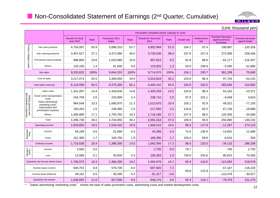## **Non-Consolidated Statement of Earnings (2<sup>nd</sup> Quarter, Cumulative)**



|                                                 |                                          |                                               | (Unit: thousand yen) |                            |        |                                                 |        |             |                     |                                                       |                                     |  |  |  |
|-------------------------------------------------|------------------------------------------|-----------------------------------------------|----------------------|----------------------------|--------|-------------------------------------------------|--------|-------------|---------------------|-------------------------------------------------------|-------------------------------------|--|--|--|
|                                                 |                                          |                                               |                      |                            |        | 2nd quarter cumulative period (January to June) |        |             |                     |                                                       |                                     |  |  |  |
|                                                 |                                          | <b>Results for fiscal</b><br><b>year 2010</b> | Ratio                | Fiscal year 2011<br>target | Ratio  | Results for fiscal year<br>2011                 | Ratio  | Growth rate | Achievement<br>rate | Increase/ decrease<br>against previous<br>fiscal year | Increase/decrease<br>against target |  |  |  |
|                                                 | Hair care products                       | 4,754,097                                     | 50.9                 | 5,086,310                  | 52.7   | 4,952,984                                       | 51.0   | 104.2       | 97.4                | 198,887                                               | $-133,326$                          |  |  |  |
|                                                 | Hair coloring products                   | 3,457,627                                     | 37.1                 | 3,472,080                  | 36.0   | 3,730,536                                       | 38.4   | 107.9       | 107.4               | 272,909                                               | 258,456                             |  |  |  |
| Product category totals                         | Permanent wave products                  | 988,800                                       | 10.6                 | 1,023,980                  | 10.6   | 907,623                                         | 9.3    | 91.8        | 88.6                | $-81,177$                                             | $-116,357$                          |  |  |  |
|                                                 | <b>Others</b>                            | 133,106                                       | 1.4                  | 61,940                     | 0.6    | 123,826                                         | 1.3    | 93.0        | 199.9               | $-9,280$                                              | 61,886                              |  |  |  |
|                                                 | Net sales                                | 9,333,632                                     | 100%                 | 9,644,310                  | 100%   | 9,714,970                                       | 100%   | 104.1       | 100.7               | 381,338                                               | 70,660                              |  |  |  |
|                                                 | Cost of sales                            | 3,217,074                                     | 34.5                 | 3,369,050                  | 34.9   | 3,314,818                                       | 34.1   | 103.0       | 98.4                | 97,744                                                | $-54,232$                           |  |  |  |
|                                                 | Total sales revenues                     | 6,116,558                                     | 65.5                 | 6,275,260                  | 65.1   | 6,400,152                                       | 65.9   | 104.6       | 102.0               | 283,594                                               | 124,892                             |  |  |  |
|                                                 | Labor costs                              | 1,341,097                                     | 14.4                 | 1,428,630                  | 14.8   | 1,405,259                                       | 14.5   | 104.8       | 98.4                | 64,162                                                | $-23,371$                           |  |  |  |
|                                                 | Travel costs/ transportation<br>costs    | 244,758                                       | 2.6                  | 233,900                    | 2.4    | 238,710                                         | 2.5    | 97.5        | 102.1               | $-6,048$                                              | 4,810                               |  |  |  |
| Selling, general and<br>administrative expenses | Sales/ advertising/<br>marketing costs*  | 964,548                                       | 10.3                 | 1,090,975                  | 11.3   | 1,013,870                                       | 10.4   | 105.1       | 92.9                | 49,322                                                | $-77,105$                           |  |  |  |
|                                                 | Depreciation and<br>amortization expense | 150,453                                       | 1.6                  | 236,580                    | 2.5    | 217,592                                         | 2.2    | 144.6       | 92.0                | 67,139                                                | $-18,988$                           |  |  |  |
|                                                 | Others                                   | 1,595,880                                     | 17.1                 | 1,750,765                  | 18.2   | 1,716,185                                       | 17.7   | 107.5       | 98.0                | 120,305                                               | $-34,580$                           |  |  |  |
|                                                 | Total                                    | 4,296,738                                     | 46.0                 | 4,740,850                  | 49.2   | 4,591,618                                       | 47.3   | 106.9       | 96.9                | 294,880                                               | $-149,232$                          |  |  |  |
|                                                 | Operating income                         | 1,819,820                                     | 19.5                 | 1,534,410                  | 15.9   | 1,808,533                                       | 18.6   | 99.4        | 117.9               | $-11,287$                                             | 274,123                             |  |  |  |
| Non-<br>operating                               | Income                                   | 58,199                                        | 0.6                  | 31,680                     | 0.3    | 43,368                                          | 0.4    | 74.5        | 136.9               | $-14,831$                                             | 11,688                              |  |  |  |
|                                                 | Costs                                    | 161,380                                       | 1.7                  | 169,790                    | 1.8    | 169,396                                         | 1.7    | 105.0       | 99.8                | 8,016                                                 | $-394$                              |  |  |  |
|                                                 | Ordinary income                          | 1,716,638                                     | 18.4                 | 1,396,300                  | 14.5   | 1,682,506                                       | 17.3   | 98.0        | 120.5               | $-34,132$                                             | 286,206                             |  |  |  |
| Extra<br>ordinary                               | Income                                   | 3,500                                         | 0.0                  |                            |        | 2,755                                           | 0.0    | 78.7        |                     | $-745$                                                | 2,755                               |  |  |  |
|                                                 | Loss                                     | 13,568                                        | 0.1                  | 30,000                     | 0.3    | 100,383                                         | 1.0    | 739.9       | 334.6               | 86,815                                                | 70,383                              |  |  |  |
|                                                 | Quarterly net income before taxes        | 1,706,570                                     | 18.3                 | 1,366,300                  | 14.2   | 1,584,878                                       | 16.3   | 92.9        | 116.0               | $-121,692$                                            | 218,578                             |  |  |  |
|                                                 | Income taxes-Current                     | 630,753                                       | 6.8                  | 579,700                    | 6.0    | 697,920                                         | 7.2    | 93.6        | 115.9               | 67,167                                                | 118,220                             |  |  |  |
|                                                 | Income taxes-Deferred                    | 49,161                                        | 0.5                  | $-30,400$                  | $-0.3$ | $-61,317$                                       | $-0.6$ |             |                     | $-110,478$                                            | $-30,917$                           |  |  |  |
|                                                 | Quarterly net income                     | 1,026,655                                     | 11.0                 | 817,000                    | 8.5    | 948,276                                         | 9.8    | 92.4        | 116.1               | $-78,379$                                             | 131,276                             |  |  |  |

\* "Sales/ advertising/ marketing costs" shows the total of sales promotion costs, advertising costs and market development costs. 12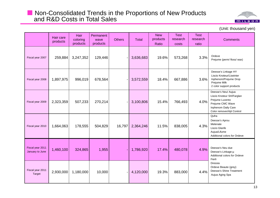## **Non-Consolidated Trends in the Proportions of New Products** and R&D Costs in Total Sales



(Unit: thousand yen)

|                                     | Hair care<br>products | Hair<br>coloring<br>products | Permanent<br>wave<br>products | <b>Others</b> | <b>Total</b> | <b>New</b><br>products<br>Ratio | <b>Test</b><br>research<br>costs | <b>Test</b><br>research<br>ratio | <b>Comments</b>                                                                                                                              |
|-------------------------------------|-----------------------|------------------------------|-------------------------------|---------------|--------------|---------------------------------|----------------------------------|----------------------------------|----------------------------------------------------------------------------------------------------------------------------------------------|
| Fiscal year 2007                    | 259,884               | 3,247,352                    | 129,446                       |               | 3,636,683    | 19.6%                           | 573,268                          | 3.3%                             | Ordeve<br>Prejume (perm/ floss/ wax)                                                                                                         |
| Fiscal year 2008                    | 1,897,975             | 996,019                      | 678,564                       |               | 3,572,559    | 18.4%                           | 667,886                          | 3.6%                             | Deesse's Linkage HY<br>Liscio Knoteur/Liseinter<br>Inphenom/Prejume Drop<br>Prejume Milk<br>2 color support products                         |
| Fiscal year 2009                    | 2,323,359             | 507,233                      | 270,214                       |               | 3,100,806    | 15.4%                           | 766,493                          | 4.0%                             | Deesse's Neu/ Aujua<br>Liscio Knoteur SH/Farglan<br>Prejume Luvento<br>Prejume CMC Wave<br>Inphenom Daily Care<br>Color remover/Ajit Control |
| Fiscal year 2010                    | 1,664,063             | 178,555                      | 504,829                       | 16,797        | 2,364,246    | 11.5%                           | 838,005                          | 4.3%                             | Qufra<br>Deesse's Aprou<br>Melenate<br>Liscio Glanfe<br>Aujua/Lifume<br>Additional colors for Ordeve                                         |
| Fiscal year 2011<br>January to June | 1,460,100             | 324,865                      | 1,955                         |               | 1,786,920    | 17.4%                           | 480,078                          | 4.9%                             | Deesse's Neu due<br>Deesse's Linkage-u<br>Additional colors for Ordeve<br>Fierli                                                             |
| Fiscal year 2011<br>Target          | 2,930,000             | 1,180,000                    | 10,000                        |               | 4,120,000    | 19.3%                           | 883,000                          | 4.4%                             | Dressia<br>Ordeve Beaute (grey)<br>Deesse's Shine Treatment<br>Aujua Aging Spa                                                               |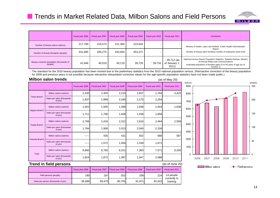

|                                                     | Fiscal year 2006 | Fiscal year 2007 | Fiscal year 2008 | Fiscal year 2009 | Fiscal year 2010 | Fiscal year 2011                     | Comments                                                                                                                                                                                               |
|-----------------------------------------------------|------------------|------------------|------------------|------------------|------------------|--------------------------------------|--------------------------------------------------------------------------------------------------------------------------------------------------------------------------------------------------------|
| Number of beauty salons (salons)                    | 217,769          | 219,573          | 221,394          | 223,645          |                  |                                      | Ministry of Health, Labor and Welfare Public Health Administration                                                                                                                                     |
| Number of beauty therapists (people)                | 431,685          | 435,275          | 443,944          | 453,371          |                  |                                      | Report<br>Number of beauty salon facilities/ number of employees (year-end)                                                                                                                            |
| Beauty customer population (thousands of<br>people) | 41,646           | 40,519           | 40,119           | 39,720           | $*39,732$        | 39,712 (as<br>of January 1,<br>2011) | National Census Report Population Statistics, Statistics Bureau, Ministry<br>of Internal Affairs and Communications<br>Estimated population of females aged 15 to 64 years of age (as of<br>October 1) |

\* The standard for the 2010 beauty population has been revised due to the preliminary statistics from the 2010 national population census. (Retroactive correction of the beauty population for 2009 and previous years is not possible because retroactive interpolated corrective values for the age-specific population statistics have not been made public.)

|                                                                | <b>Milbon salon trends</b>            |                  |                  |                  |                  |                  | (as of May 20)   |
|----------------------------------------------------------------|---------------------------------------|------------------|------------------|------------------|------------------|------------------|------------------|
|                                                                |                                       | Fiscal year 2006 | Fiscal year 2007 | Fiscal year 2008 | Fiscal year 2009 | Fiscal year 2010 | Fiscal year 2011 |
|                                                                | Milbon salons (salons)                | 2,439            | 2,404            | 2,210            | 2,657            | 2,784            | 3,423            |
| <b>Tokyo Branch</b>                                            | Sales per salon (thousands<br>of yen) | 1,937            | 1,999            | 2,160            | 2,170            | 2,254            |                  |
| Milbon salons (salons)                                         |                                       | 1,452            | 1,505            | 1,368            | 1,558            | 1,643            | 1,636            |
| Nagoya Branch                                                  | Sales per salon (thousands<br>of yen) | 1,711            | 1,706            | 1,848            | 1,559            | 1,858            |                  |
| Osaka Branch                                                   | Milbon salons (salons)                | 2,769            | 2,416            | 2,312            | 2,616            | 2,464            | 2,558            |
|                                                                | Sales per salon (thousands<br>of yen) | 1,784            | 1,908            | 2,013            | 2,040            | 2,158            |                  |
|                                                                | Milbon salons (salons)                | ----             | 435              | 431              | 552              | 680              | 587              |
| <b>Fukuoka Branch</b><br>Sales per salon (thousands<br>of yen) |                                       | -----            | 1,572            | 1,564            | 1,538            | 1,671            |                  |
| Total                                                          | Milbon salons (salons)                | 6,660            | 6,760            | 6,321            | 7,383            | 7,571            | 8,204            |
|                                                                | Sales per salon (thousands<br>of yen) | 1,824            | 1,872            | 1,997            | 1,947            | 2,088            |                  |
|                                                                | Trend in field persons                |                  |                  |                  |                  |                  | (as of June 20)  |



#### **Trend in field persons**

| frend in field persons              |                  |                  |                  |                  |                  | (as of June 20)           |
|-------------------------------------|------------------|------------------|------------------|------------------|------------------|---------------------------|
|                                     | Fiscal vear 2006 | Fiscal vear 2007 | Fiscal year 2008 | Fiscal year 2009 | Fiscal vear 2010 | Fiscal year 2011          |
| Field persons (people)              | 1801             | 197              | 202 <b>1</b>     | 206              | <b>224</b>       | 14 people<br>currently in |
| Sales per person (thousands of yen) | 95,689           | 89.475           | 90.705           | 91.971           | 92.022           | training                  |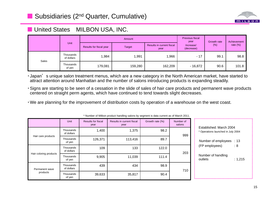

## **N** United States MILBON USA, INC.

|       |                         |                         | Amount  | <b>Previous fiscal</b><br>year    | Growth rate             | <b>Achievement</b> |             |  |
|-------|-------------------------|-------------------------|---------|-----------------------------------|-------------------------|--------------------|-------------|--|
|       | Unit                    | Results for fiscal year | Target  | Results in current fiscal<br>year | Increase/<br>(decrease) | (% )               | rate $(\%)$ |  |
| Sales | Thousands<br>of dollars | ,984                    | ,991    | 1,966                             | $-17$                   | 99.1               | 98.8        |  |
|       | Thousands<br>of yen     | 179,081                 | 159,280 | 162,209                           | $-16,872$               | 90.6               | 101.8       |  |

· Japan's unique salon treatment menus, which are a new category in the North American market, have started to attract attention around Manhattan and the number of salons introducing products is expanding steadily.

- Signs are starting to be seen of a cessation in the slide of sales of hair care products and permanent wave products centered on straight perm agents, which have continued to tend towards slight decreases.
- We are planning for the improvement of distribution costs by operation of a warehouse on the west coast.

|                        | <b>Unit</b>             | <b>Results for fiscal</b><br>year | Results in current fiscal<br>year | Growth rate (%) | Number of<br>salons | Established: March 2004                  |
|------------------------|-------------------------|-----------------------------------|-----------------------------------|-----------------|---------------------|------------------------------------------|
| Hair care products     | Thousands<br>of dollars | 1,400                             | 1,375                             | 98.2            | 999                 | * Operations launched in July 2004       |
|                        | Thousands<br>of yen     | 126,371                           | 113,416                           | 89.7            |                     | Number of employees : 13                 |
|                        | Thousands<br>of dollars | 109                               | 133                               | 122.0           | 203                 | (FP employees)<br>$\therefore 8$         |
| Hair coloring products | Thousands<br>of yen     | 9,905                             | 11,039                            | 111.4           |                     | Number of handling<br>: 1,215<br>outlets |
| Permanent wave         | Thousands<br>of dollars | 439                               | 434                               | 98.9            | 710                 |                                          |
| products               | Thousands<br>of yen     | 39,633                            | 35,817                            | 90.4            |                     |                                          |

\* Number of Milbon product handling salons by segment is data current as of March 2011.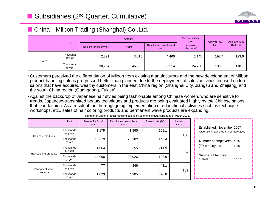

#### $\blacksquare$  China ■ China Milbon Trading (Shanghai) Co.,Ltd.

|       |                      |                         | Amount        | Previous fiscal<br>year           | Growth rate             | Achievement |             |
|-------|----------------------|-------------------------|---------------|-----------------------------------|-------------------------|-------------|-------------|
|       | Unit                 | Results for fiscal year | <b>Target</b> | Results in current fiscal<br>year | Increase/<br>(decrease) | (% )        | rate $(\%)$ |
| Sales | Thousands<br>of yuan | 2,321                   | 3,615         | 4,466                             | 2,145                   | 192.4       | 123.6       |
|       | Thousands<br>of yen  | 30,734                  | 46,995        | 55,514                            | 24,780                  | 180.6       | 118.1       |

• Customers perceived the differentiation of Milbon from existing manufacturers and the new development of Milbon product-handling salons progressed better than planned due to the deployment of sales activities focused on top salons that have acquired wealthy customers in the east China region (Shanghai City, Jiangsu and Zhejiang) and the south China region (Guangdong, Fukien).

Against the backdrop of Japanese hair styles being fashionable among Chinese women, who are sensitive to trends, Japanese-transmitted beauty techniques and products are being evaluated highly by the Chinese salons that lead fashion. As a result of the thoroughgoing implementation of educational activities such as technique workshops, etc., sales of hair coloring products and permanent wave products are expanding.

|                            | Unit                 | <b>Results for fiscal</b><br>year | Results in current fiscal<br>year | Growth rate (%) | Number of<br>salons | Established: November 2007                        |
|----------------------------|----------------------|-----------------------------------|-----------------------------------|-----------------|---------------------|---------------------------------------------------|
| Hair care products         | Thousands<br>of yuan | 1,179                             | 1,865                             | 158.1           | 160                 | *Operations launched in February 2009             |
|                            | Thousands<br>of yen  | 15,619                            | 23,182                            | 148.4           |                     | Number of employees : 15                          |
| Hair coloring products     | Thousands<br>of yuan | 1,064                             | 2,255                             | 211.9           | 226                 | (FP employees)<br>: 10                            |
|                            | Thousands<br>of yen  | 14,090                            | 28,026                            | 198.9           |                     | Number of handling<br>$\therefore$ 311<br>outlets |
| Permanent wave<br>products | Thousands<br>of yuan | 77                                | 346                               | 448.1           | 169                 |                                                   |
|                            | Thousands<br>of yen  | 1,023                             | 4,305                             | 420.8           |                     |                                                   |

\* Number of Milbon product handling salons by segment is data current as of March 2011.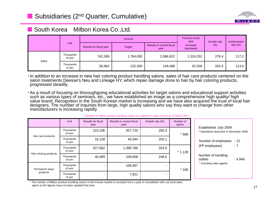

## ■ South Korea Milbon Korea Co.,Ltd.

|       | <b>Unit</b>         |                         | Previous fiscal<br>year | Growth rate                       | Achievement             |        |             |
|-------|---------------------|-------------------------|-------------------------|-----------------------------------|-------------------------|--------|-------------|
|       |                     | Results for fiscal year | Target                  | Results in current fiscal<br>year | Increase/<br>(decrease) | $(\%)$ | rate $(\%)$ |
| Sales | Thousands<br>of won | 742,369                 | 1,764,000               | 2,066,622                         | 1,324,252               | 278.4  | 117.2       |
|       | Thousands<br>of yen | 56,962                  | 132,300                 | 149,498                           | 92,536                  | 262.5  | 113.0       |

In addition to an increase in new hair coloring product handling salons, sales of hair care products centered on the salon treatments Deesse's Neu and Linkage HY, which repair damage done to hair by hair coloring products, progressed steadily.

As a result of focusing on thoroughgoing educational activities for target salons and educational support activities such as various types of seminars, etc., we have established an image as a comprehensive high quality/ high value brand. Recognition in the South Korean market is increasing and we have also acquired the trust of local hair designers. The number of inquiries from large, high quality salons who say they want to change from other manufacturers is increasing rapidly.

|                            | Unit                | <b>Results for fiscal</b><br>year | Results in current fiscal<br>year | Growth rate (%) | Number of<br>salons |                                                                  |
|----------------------------|---------------------|-----------------------------------|-----------------------------------|-----------------|---------------------|------------------------------------------------------------------|
| Hair care products         | Thousands<br>of won | 210,196                           | 557,710                           | 265.3           | $*589$              | Established: July 2009<br>* Operations launched in December 2009 |
|                            | Thousands<br>of yen | 16,128                            | 40,344                            | 250.1           |                     | Number of employees : 12                                         |
| Hair coloring products     | Thousands<br>of won | 527,682                           | 1,390,786                         | 263.6           | $*1,128$            | : 7<br>(FP employees)                                            |
|                            |                     | Thousands<br>of yen               | 40,489                            | 100,608         | 248.5               |                                                                  |
| Permanent wave<br>products | Thousands<br>of won |                                   | 109,497                           |                 | $*186$              | * Including sales agents.                                        |
|                            | Thousands<br>of yen |                                   | 7,921                             |                 |                     |                                                                  |

#### \* Number of Milbon product handling salons by segment is data current as of March 2011.

The number of Milbon product-handling salons in the Korean market is surveyed once a year in consultation with our local sales agent so the figures have not been updated this time.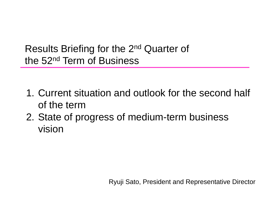Results Briefing for the 2nd Quarter of the 52nd Term of Business

- 1. Current situation and outlook for the second half of the term
- 2. State of progress of medium-term business vision

Ryuji Sato, President and Representative Director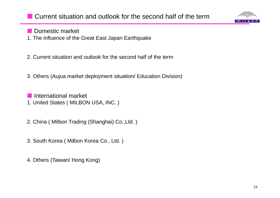

**Domestic market** 

- 1. The influence of the Great East Japan Earthquake
- 2. Current situation and outlook for the second half of the term
- 3. Others (Aujua market deployment situation/ Education Division)
- F. International market 1. United States ( MILBON USA, INC. )
- 2. China ( Milbon Trading (Shanghai) Co.,Ltd. )
- 3. South Korea ( Milbon Korea Co., Ltd. )
- 4. Others (Taiwan/ Hong Kong)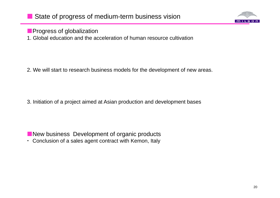

**Progress of globalization** 

1. Global education and the acceleration of human resource cultivation

2. We will start to research business models for the development of new areas.

3. Initiation of a project aimed at Asian production and development bases

New business Development of organic products

Conclusion of a sales agent contract with Kemon, Italy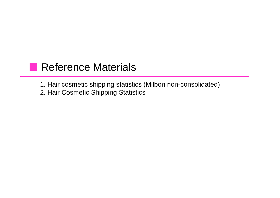# **Reference Materials**

1. Hair cosmetic shipping statistics (Milbon non-consolidated) 2. Hair Cosmetic Shipping Statistics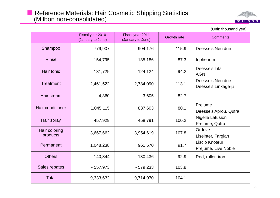

|                           | Fiscal year 2010<br>(January to June) | Fiscal year 2011<br>(January to June) | <b>Growth rate</b> | <b>Comments</b>                           |
|---------------------------|---------------------------------------|---------------------------------------|--------------------|-------------------------------------------|
| Shampoo                   | 779,907                               | 904,176                               | 115.9              | Deesse's Neu due                          |
| <b>Rinse</b>              | 154,795                               | 135,186                               | 87.3               | Inphenom                                  |
| <b>Hair tonic</b>         | 131,729                               | 124,124                               | 94.2               | Deesse's Lifa<br><b>AGN</b>               |
| <b>Treatment</b>          | 2,461,522                             | 2,784,090                             | 113.1              | Deesse's Neu due<br>Deesse's Linkage-µ    |
| Hair cream                | 4,360                                 | 3,605                                 | 82.7               |                                           |
| Hair conditioner          | 1,045,115                             | 837,603                               | 80.1               | Prejume<br>Deesse's Aprou, Qufra          |
| Hair spray                | 457,929                               | 458,791                               | 100.2              | <b>Nigelle Lafusion</b><br>Prejume, Qufra |
| Hair coloring<br>products | 3,667,662                             | 3,954,619                             | 107.8              | Ordeve<br>Liseinter, Farglan              |
| Permanent                 | 1,048,238                             | 961,570                               | 91.7               | Liscio Knoteur<br>Prejume, Live Noble     |
| <b>Others</b>             | 140,344                               | 130,436                               | 92.9               | Rod, roller, iron                         |
| Sales rebates             | $-557,973$                            | $-579,233$                            | 103.8              |                                           |
| <b>Total</b>              | 9,333,632                             | 9,714,970                             | 104.1              |                                           |

(Unit: thousand yen)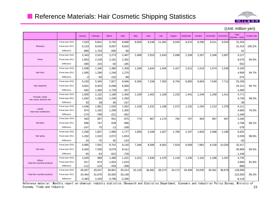

January February March April May June July August September October November December Total (January - April) Growth rate Fiscal year 2010 7,033 6,841 8,792 8,688 8,569 9,248 11,382 9,040 8,372 8,290 9,311 9,533 31,354 Shampoo Fiscal year 2011 6,153 8,545 8,097 8,620 31,415 100.2% Difference -880 1,704 -695 -68 61 Fiscal year 2010 2,343 2,024 2,273 2,487 2,488 2,553 2,643 2,698 2,339 2,357 2,346 2,607 9,127 Rinse Fiscal year 2011 1,853 2,239 2,181 2,302 8,575 94.0% Differencee -490 215 -92 -185 -552 Fiscal year 2010 1,098 1,346 1,380 1,359 1,339 1,644 1,404 1,427 1,512 1,516 1,574 1,536 5,183 Hair tonic Fiscal year 2011 1,095 1,296 1,248 1,270 4,909 94.7% Difference -3 -50 -132 -89 -274 Fiscal year 2010 5,193 5,340 7,827 6,846 6,266 7,158 7,303 6,704 6,855 6,804 7,549 7,712 25,206 Hair treatment | Fiscal year 2011 | 4,601 | 6,833 | 6,098 | 6,589 | | | | | | | | | | | | | | | | | 24,121 | 95.7% **Difference**  -592 1,493 -1,729 -257 -1,085 Pomade, cheek Fiscal year 2010 1,009 1,132 1,180 1,450 1,109 1,402 1,328 1,233 1,441 1,249 1,290 1,411 4,771 1 - Lair cream, perfume oils Fiscal year 2011 | 1,042 | 1,160 | 1,240 | 1,293 | | | | | | | | | | | | | | | 4,735 | 99.2% **Difference**  33 28 60 -1577 | | | | | | | | | | | | Liquid/ foam hair conditionersFiscal year 2010 1,048 1,981 1,520 1,562 1,159 1,431 1,186 1,573 1,152 1,204 1,212 1,378 6,111 Fiscal year 2011 874 1,192 1,299 1,300 4,665 76.3% Difference-174 -789 -221 -262 -1,446 Fiscal year 2010 | 943| 697| 651| 875| 773| 867| 1,170| 792| 767| 804| 867| 947| 3,166 Set lotion | Fiscal year 2011 | 696 767 639 686 2,788 88.1% Difference -247 70 -12 -189 -378 Fiscal year 2010 1,258 1,607 1,990 1,777 1,659 2,168 1,927 1,769 2,167 1,843 2,098 2,190 6,632 Hair spray Fiscal year 2011 | 1,282 | 1,532 | 2,072 | 1,653 | | | | | | | | | | | | | | | | | | 6,539 | 98.6% **Difference** e 24 -75 82 -124 -93 Fiscal year 2010 5,985 7,591 9,701 9,140 7,346 8,586 8,562 7,819 8,569 7,862 8,158 10,026 32,417 Hair dyes Fiscal year 2011 5,940 7,538 9,079 8,412 30,969 95.5% **Difference**  -45 -53 -622 -7288 -1,448 -1,448 -1,448 -1,448 -1,448 -1,448 -1,448 -1,448 -1,448 -1,448 -1,448 -1, **Others** Total hair cosmetic products Fiscal year 2010 1,029 989 1,486 1,231 1,421 1,636 1,470 1,118 1,235 1,102 1,186 1,337 4,735 Fiscal year 2011 917 874 1,052 1,023 3,866 81.6% Difference -1122 -115 -434 -208 - 1 - 1 - 1 - 1 - 1 - 1 - 1 - 869 Fiscal year 2010 | 26,937 | 29,547 | 36,801 | 35,414 | 32,128 | 36,692 | 38,373 | 34,172 | 34,409 | 33,030 | 35,591 | 38,678 | 128,699 Total hair cosmetic products | Fiscal year 2011 | 24,454 31,976 33,005 33,148 122,583 95.2% 122,583 95.2% 122,583 95.2% Difference-2,483 2,429 -3,796 -2,266 -6,116

Reference material: Monthly report on chemical industry statistics (Research and Statistics Department, Economic and Industrial Policy Bureau, Ministry of Economy, Trade and Industry) 23

#### (Unit: million yen)